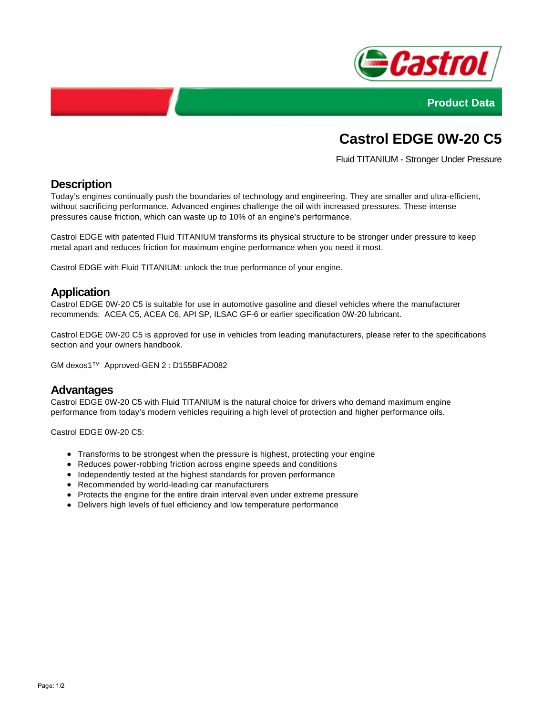



# **Castrol EDGE 0W-20 C5**

Fluid TITANIUM - Stronger Under Pressure

## **Description**

Today's engines continually push the boundaries of technology and engineering. They are smaller and ultra-efficient, without sacrificing performance. Advanced engines challenge the oil with increased pressures. These intense pressures cause friction, which can waste up to 10% of an engine's performance.

Castrol EDGE with patented Fluid TITANIUM transforms its physical structure to be stronger under pressure to keep metal apart and reduces friction for maximum engine performance when you need it most.

Castrol EDGE with Fluid TITANIUM: unlock the true performance of your engine.

### **Application**

Castrol EDGE 0W-20 C5 is suitable for use in automotive gasoline and diesel vehicles where the manufacturer recommends: ACEA C5, ACEA C6, API SP, ILSAC GF-6 or earlier specification 0W-20 lubricant.

Castrol EDGE 0W-20 C5 is approved for use in vehicles from leading manufacturers, please refer to the specifications section and your owners handbook.

GM dexos1™ Approved-GEN 2 : D155BFAD082

#### **Advantages**

Castrol EDGE 0W-20 C5 with Fluid TITANIUM is the natural choice for drivers who demand maximum engine performance from today's modern vehicles requiring a high level of protection and higher performance oils.

Castrol EDGE 0W-20 C5:

- Transforms to be strongest when the pressure is highest, protecting your engine
- Reduces power-robbing friction across engine speeds and conditions
- Independently tested at the highest standards for proven performance
- Recommended by world-leading car manufacturers
- Protects the engine for the entire drain interval even under extreme pressure
- Delivers high levels of fuel efficiency and low temperature performance